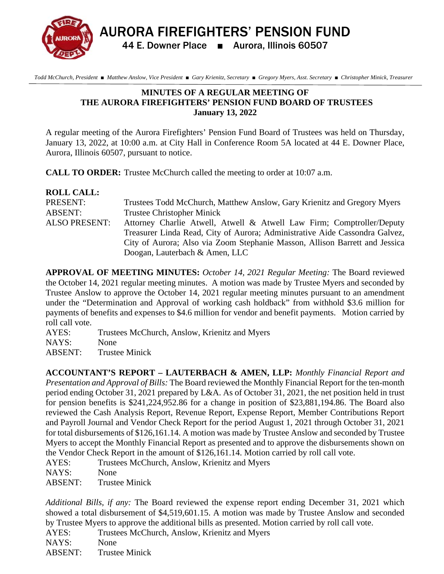AURORA FIREFIGHTERS' PENSION FUND 44 E. Downer Place ■ Aurora, Illinois 60507

 *Todd McChurch, President* ■ *Matthew Anslow, Vice President* ■ *Gary Krienitz, Secretary* ■ *Gregory Myers, Asst. Secretary* ■ *Christopher Minick, Treasurer* 

## **MINUTES OF A REGULAR MEETING OF THE AURORA FIREFIGHTERS' PENSION FUND BOARD OF TRUSTEES January 13, 2022**

A regular meeting of the Aurora Firefighters' Pension Fund Board of Trustees was held on Thursday, January 13, 2022, at 10:00 a.m. at City Hall in Conference Room 5A located at 44 E. Downer Place, Aurora, Illinois 60507, pursuant to notice.

**CALL TO ORDER:** Trustee McChurch called the meeting to order at 10:07 a.m.

| <b>ROLL CALL:</b>    |                                                                             |
|----------------------|-----------------------------------------------------------------------------|
| PRESENT:             | Trustees Todd McChurch, Matthew Anslow, Gary Krienitz and Gregory Myers     |
| ABSENT:              | <b>Trustee Christopher Minick</b>                                           |
| <b>ALSO PRESENT:</b> | Attorney Charlie Atwell, Atwell & Atwell Law Firm; Comptroller/Deputy       |
|                      | Treasurer Linda Read, City of Aurora; Administrative Aide Cassondra Galvez, |
|                      | City of Aurora; Also via Zoom Stephanie Masson, Allison Barrett and Jessica |
|                      | Doogan, Lauterbach & Amen, LLC                                              |

**APPROVAL OF MEETING MINUTES:** *October 14, 2021 Regular Meeting:* The Board reviewed the October 14, 2021 regular meeting minutes. A motion was made by Trustee Myers and seconded by Trustee Anslow to approve the October 14, 2021 regular meeting minutes pursuant to an amendment under the "Determination and Approval of working cash holdback" from withhold \$3.6 million for payments of benefits and expenses to \$4.6 million for vendor and benefit payments. Motion carried by roll call vote.

AYES: Trustees McChurch, Anslow, Krienitz and Myers

NAYS: None

ABSENT: Trustee Minick

**ACCOUNTANT'S REPORT – LAUTERBACH & AMEN, LLP:** *Monthly Financial Report and Presentation and Approval of Bills:* The Board reviewed the Monthly Financial Report for the ten-month period ending October 31, 2021 prepared by L&A. As of October 31, 2021, the net position held in trust for pension benefits is \$241,224,952.86 for a change in position of \$23,881,194.86. The Board also reviewed the Cash Analysis Report, Revenue Report, Expense Report, Member Contributions Report and Payroll Journal and Vendor Check Report for the period August 1, 2021 through October 31, 2021 for total disbursements of \$126,161.14. A motion was made by Trustee Anslow and seconded by Trustee Myers to accept the Monthly Financial Report as presented and to approve the disbursements shown on the Vendor Check Report in the amount of \$126,161.14. Motion carried by roll call vote.

AYES: Trustees McChurch, Anslow, Krienitz and Myers

NAYS: None

ABSENT: Trustee Minick

*Additional Bills, if any:* The Board reviewed the expense report ending December 31, 2021 which showed a total disbursement of \$4,519,601.15. A motion was made by Trustee Anslow and seconded by Trustee Myers to approve the additional bills as presented. Motion carried by roll call vote.

AYES: Trustees McChurch, Anslow, Krienitz and Myers

NAYS: None

ABSENT: Trustee Minick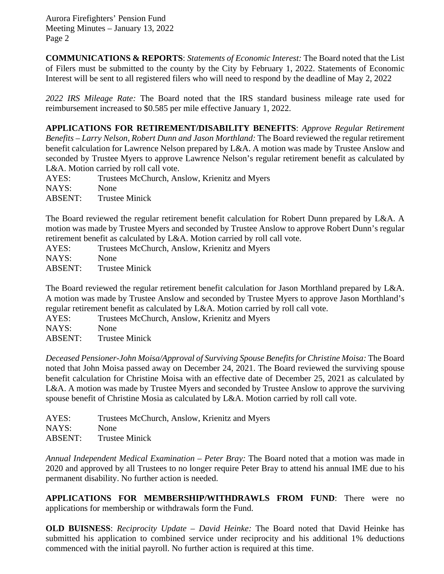Aurora Firefighters' Pension Fund Meeting Minutes – January 13, 2022 Page 2

**COMMUNICATIONS & REPORTS**: *Statements of Economic Interest:* The Board noted that the List of Filers must be submitted to the county by the City by February 1, 2022. Statements of Economic Interest will be sent to all registered filers who will need to respond by the deadline of May 2, 2022

*2022 IRS Mileage Rate:* The Board noted that the IRS standard business mileage rate used for reimbursement increased to \$0.585 per mile effective January 1, 2022.

**APPLICATIONS FOR RETIREMENT/DISABILITY BENEFITS**: *Approve Regular Retirement Benefits – Larry Nelson, Robert Dunn and Jason Morthland:* The Board reviewed the regular retirement benefit calculation for Lawrence Nelson prepared by L&A. A motion was made by Trustee Anslow and seconded by Trustee Myers to approve Lawrence Nelson's regular retirement benefit as calculated by L&A. Motion carried by roll call vote.

AYES: Trustees McChurch, Anslow, Krienitz and Myers NAYS: None ABSENT: Trustee Minick

The Board reviewed the regular retirement benefit calculation for Robert Dunn prepared by L&A. A motion was made by Trustee Myers and seconded by Trustee Anslow to approve Robert Dunn's regular retirement benefit as calculated by L&A. Motion carried by roll call vote.

AYES: Trustees McChurch, Anslow, Krienitz and Myers

NAYS: None

ABSENT: Trustee Minick

The Board reviewed the regular retirement benefit calculation for Jason Morthland prepared by L&A. A motion was made by Trustee Anslow and seconded by Trustee Myers to approve Jason Morthland's regular retirement benefit as calculated by L&A. Motion carried by roll call vote.

AYES: Trustees McChurch, Anslow, Krienitz and Myers NAYS: None

ABSENT: Trustee Minick

*Deceased Pensioner-John Moisa/Approval of Surviving Spouse Benefits for Christine Moisa:* The Board noted that John Moisa passed away on December 24, 2021. The Board reviewed the surviving spouse benefit calculation for Christine Moisa with an effective date of December 25, 2021 as calculated by L&A. A motion was made by Trustee Myers and seconded by Trustee Anslow to approve the surviving spouse benefit of Christine Mosia as calculated by L&A. Motion carried by roll call vote.

| AYES:   | Trustees McChurch, Anslow, Krienitz and Myers |
|---------|-----------------------------------------------|
| NAYS:   | None                                          |
| ABSENT: | <b>Trustee Minick</b>                         |

*Annual Independent Medical Examination – Peter Bray:* The Board noted that a motion was made in 2020 and approved by all Trustees to no longer require Peter Bray to attend his annual IME due to his permanent disability. No further action is needed.

**APPLICATIONS FOR MEMBERSHIP/WITHDRAWLS FROM FUND**: There were no applications for membership or withdrawals form the Fund.

**OLD BUISNESS**: *Reciprocity Update – David Heinke:* The Board noted that David Heinke has submitted his application to combined service under reciprocity and his additional 1% deductions commenced with the initial payroll. No further action is required at this time.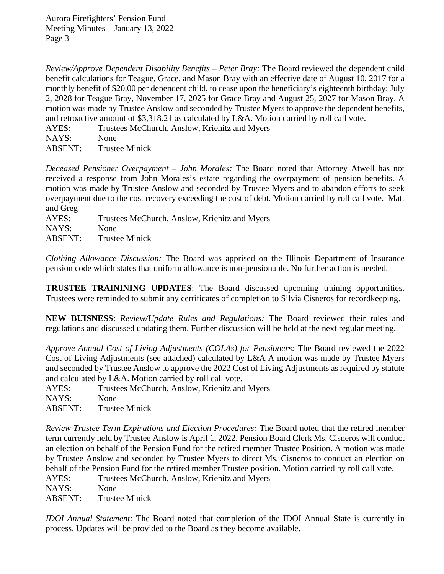*Review/Approve Dependent Disability Benefits – Peter Bray:* The Board reviewed the dependent child benefit calculations for Teague, Grace, and Mason Bray with an effective date of August 10, 2017 for a monthly benefit of \$20.00 per dependent child, to cease upon the beneficiary's eighteenth birthday: July 2, 2028 for Teague Bray, November 17, 2025 for Grace Bray and August 25, 2027 for Mason Bray. A motion was made by Trustee Anslow and seconded by Trustee Myers to approve the dependent benefits, and retroactive amount of \$3,318.21 as calculated by L&A. Motion carried by roll call vote.

AYES: Trustees McChurch, Anslow, Krienitz and Myers

NAYS: None

ABSENT: Trustee Minick

*Deceased Pensioner Overpayment – John Morales:* The Board noted that Attorney Atwell has not received a response from John Morales's estate regarding the overpayment of pension benefits. A motion was made by Trustee Anslow and seconded by Trustee Myers and to abandon efforts to seek overpayment due to the cost recovery exceeding the cost of debt. Motion carried by roll call vote. Matt and Greg

AYES: Trustees McChurch, Anslow, Krienitz and Myers NAYS: None ABSENT: Trustee Minick

*Clothing Allowance Discussion:* The Board was apprised on the Illinois Department of Insurance pension code which states that uniform allowance is non-pensionable. No further action is needed.

**TRUSTEE TRAININING UPDATES**: The Board discussed upcoming training opportunities. Trustees were reminded to submit any certificates of completion to Silvia Cisneros for recordkeeping.

**NEW BUISNESS**: *Review/Update Rules and Regulations:* The Board reviewed their rules and regulations and discussed updating them. Further discussion will be held at the next regular meeting.

*Approve Annual Cost of Living Adjustments (COLAs) for Pensioners:* The Board reviewed the 2022 Cost of Living Adjustments (see attached) calculated by L&A A motion was made by Trustee Myers and seconded by Trustee Anslow to approve the 2022 Cost of Living Adjustments as required by statute and calculated by L&A. Motion carried by roll call vote.

AYES: Trustees McChurch, Anslow, Krienitz and Myers NAYS: None ABSENT: Trustee Minick

*Review Trustee Term Expirations and Election Procedures:* The Board noted that the retired member term currently held by Trustee Anslow is April 1, 2022. Pension Board Clerk Ms. Cisneros will conduct an election on behalf of the Pension Fund for the retired member Trustee Position. A motion was made by Trustee Anslow and seconded by Trustee Myers to direct Ms. Cisneros to conduct an election on behalf of the Pension Fund for the retired member Trustee position. Motion carried by roll call vote.

AYES: Trustees McChurch, Anslow, Krienitz and Myers

NAYS: None

ABSENT: Trustee Minick

*IDOI Annual Statement:* The Board noted that completion of the IDOI Annual State is currently in process. Updates will be provided to the Board as they become available.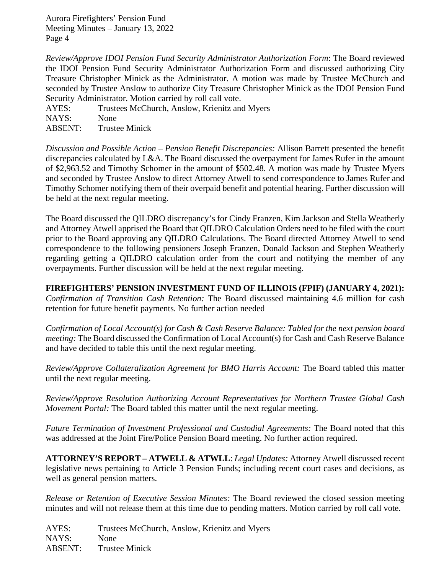Aurora Firefighters' Pension Fund Meeting Minutes – January 13, 2022 Page 4

*Review/Approve IDOI Pension Fund Security Administrator Authorization Form*: The Board reviewed the IDOI Pension Fund Security Administrator Authorization Form and discussed authorizing City Treasure Christopher Minick as the Administrator. A motion was made by Trustee McChurch and seconded by Trustee Anslow to authorize City Treasure Christopher Minick as the IDOI Pension Fund Security Administrator. Motion carried by roll call vote.

AYES: Trustees McChurch, Anslow, Krienitz and Myers NAYS: None

ABSENT: Trustee Minick

*Discussion and Possible Action – Pension Benefit Discrepancies:* Allison Barrett presented the benefit discrepancies calculated by L&A. The Board discussed the overpayment for James Rufer in the amount of \$2,963.52 and Timothy Schomer in the amount of \$502.48. A motion was made by Trustee Myers and seconded by Trustee Anslow to direct Attorney Atwell to send correspondence to James Rufer and Timothy Schomer notifying them of their overpaid benefit and potential hearing. Further discussion will be held at the next regular meeting.

The Board discussed the QILDRO discrepancy's for Cindy Franzen, Kim Jackson and Stella Weatherly and Attorney Atwell apprised the Board that QILDRO Calculation Orders need to be filed with the court prior to the Board approving any QILDRO Calculations. The Board directed Attorney Atwell to send correspondence to the following pensioners Joseph Franzen, Donald Jackson and Stephen Weatherly regarding getting a QILDRO calculation order from the court and notifying the member of any overpayments. Further discussion will be held at the next regular meeting.

**FIREFIGHTERS' PENSION INVESTMENT FUND OF ILLINOIS (FPIF) (JANUARY 4, 2021):**  *Confirmation of Transition Cash Retention:* The Board discussed maintaining 4.6 million for cash retention for future benefit payments. No further action needed

*Confirmation of Local Account(s) for Cash & Cash Reserve Balance: Tabled for the next pension board meeting:* The Board discussed the Confirmation of Local Account(s) for Cash and Cash Reserve Balance and have decided to table this until the next regular meeting.

*Review/Approve Collateralization Agreement for BMO Harris Account:* The Board tabled this matter until the next regular meeting.

*Review/Approve Resolution Authorizing Account Representatives for Northern Trustee Global Cash Movement Portal:* The Board tabled this matter until the next regular meeting.

*Future Termination of Investment Professional and Custodial Agreements:* The Board noted that this was addressed at the Joint Fire/Police Pension Board meeting. No further action required.

**ATTORNEY'S REPORT – ATWELL & ATWLL**: *Legal Updates:* Attorney Atwell discussed recent legislative news pertaining to Article 3 Pension Funds; including recent court cases and decisions, as well as general pension matters.

*Release or Retention of Executive Session Minutes:* The Board reviewed the closed session meeting minutes and will not release them at this time due to pending matters. Motion carried by roll call vote.

AYES: Trustees McChurch, Anslow, Krienitz and Myers NAYS: None ABSENT: Trustee Minick